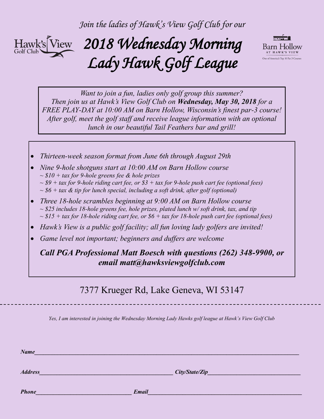*Join the ladies of Hawk's View Golf Club for our*



# *2018 Wednesday Morning Lady Hawk Golf League*



*Want to join a fun, ladies only golf group this summer? Then join us at Hawk's View Golf Club on Wednesday, May 30, 2018 for a FREE PLAY-DAY at 10:00 AM on Barn Hollow, Wisconsin's finest par-3 course! After golf, meet the golf staff and receive league information with an optional lunch in our beautiful Tail Feathers bar and grill!*

- *Thirteen-week season format from June 6th through August 29th*
- *Nine 9-hole shotguns start at 10:00 AM on Barn Hollow course ~ \$10 + tax for 9-hole greens fee & hole prizes*
	- *~ \$9 + tax for 9-hole riding cart fee, or \$3 + tax for 9-hole push cart fee (optional fees)*
	- *~ \$6 + tax & tip for lunch special, including a soft drink, after golf (optional)*
- *Three 18-hole scrambles beginning at 9:00 AM on Barn Hollow course ~ \$25 includes 18-hole greens fee, hole prizes, plated lunch w/ soft drink, tax, and tip ~ \$15 + tax for 18-hole riding cart fee, or \$6 + tax for 18-hole push cart fee (optional fees)*
- *Hawk's View is a public golf facility; all fun loving lady golfers are invited!*
- *Game level not important; beginners and duffers are welcome*

*Call PGA Professional Matt Boesch with questions (262) 348-9900, or email matt@hawksviewgolfclub.com*

### 7377 Krueger Rd, Lake Geneva, WI 53147

*Yes, I am interested in joining the Wednesday Morning Lady Hawks golf league at Hawk's View Golf Club*

 $Name$   $Name$   $2.11$   $2.11$   $2.11$   $2.11$   $2.11$   $2.11$   $2.11$   $2.11$   $2.11$   $2.11$   $2.11$   $2.11$   $2.11$   $2.11$   $2.11$   $2.11$   $2.11$   $2.11$   $2.11$   $2.11$   $2.11$   $2.11$   $2.11$   $2.11$   $2.11$   $2.11$   $2.11$   $2.11$   $2.11$   $2.11$   $2.$ 

*Address City/State/Zip* 

*Phone\_\_\_\_\_\_\_\_\_\_\_\_\_\_\_\_\_\_\_\_\_\_\_\_\_\_\_\_\_\_\_\_\_ Email\_\_\_\_\_\_\_\_\_\_\_\_\_\_\_\_\_\_\_\_\_\_\_\_\_\_\_\_\_\_\_\_\_\_\_\_\_\_\_\_\_\_\_\_\_\_\_\_\_\_\_\_\_*